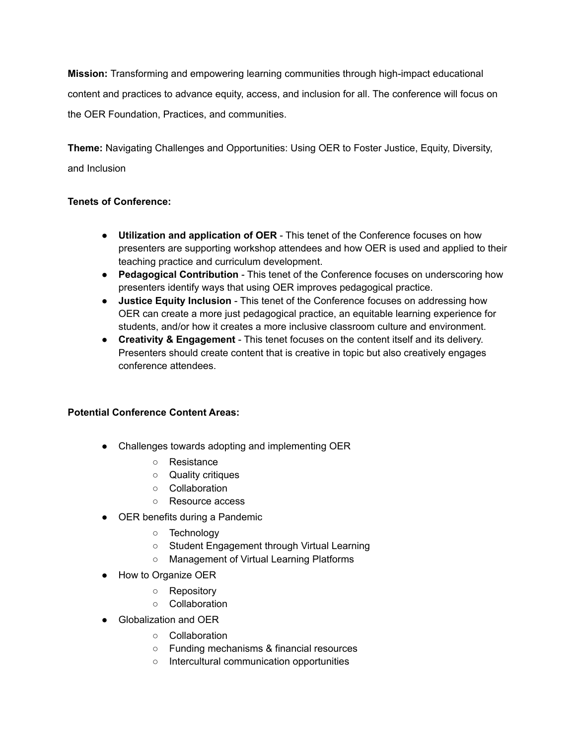**Mission:** Transforming and empowering learning communities through high-impact educational content and practices to advance equity, access, and inclusion for all. The conference will focus on the OER Foundation, Practices, and communities.

**Theme:** Navigating Challenges and Opportunities: Using OER to Foster Justice, Equity, Diversity, and Inclusion

## **Tenets of Conference:**

- **Utilization and application of OER** This tenet of the Conference focuses on how presenters are supporting workshop attendees and how OER is used and applied to their teaching practice and curriculum development.
- **Pedagogical Contribution** This tenet of the Conference focuses on underscoring how presenters identify ways that using OER improves pedagogical practice.
- **Justice Equity Inclusion** This tenet of the Conference focuses on addressing how OER can create a more just pedagogical practice, an equitable learning experience for students, and/or how it creates a more inclusive classroom culture and environment.
- **Creativity & Engagement** This tenet focuses on the content itself and its delivery. Presenters should create content that is creative in topic but also creatively engages conference attendees.

## **Potential Conference Content Areas:**

- Challenges towards adopting and implementing OER
	- Resistance
	- Quality critiques
	- Collaboration
	- Resource access
- OER benefits during a Pandemic
	- Technology
	- Student Engagement through Virtual Learning
	- Management of Virtual Learning Platforms
- How to Organize OER
	- Repository
	- Collaboration
- Globalization and OER
	- Collaboration
	- Funding mechanisms & financial resources
	- Intercultural communication opportunities